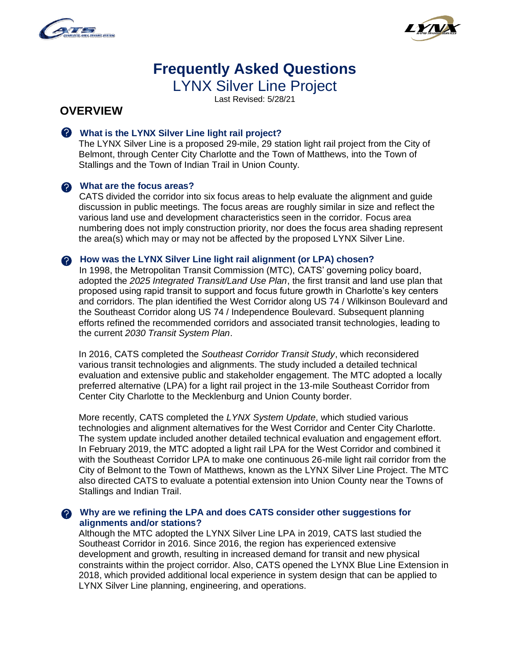



# **Frequently Asked Questions**  LYNX Silver Line Project

Last Revised: 5/28/21

# **OVERVIEW**

### **What is the LYNX Silver Line light rail project?**

The LYNX Silver Line is a proposed 29-mile, 29 station light rail project from the City of Belmont, through Center City Charlotte and the Town of Matthews, into the Town of Stallings and the Town of Indian Trail in Union County.

#### **What are the focus areas?**

CATS divided the corridor into six focus areas to help evaluate the alignment and guide discussion in public meetings. The focus areas are roughly similar in size and reflect the various land use and development characteristics seen in the corridor. Focus area numbering does not imply construction priority, nor does the focus area shading represent the area(s) which may or may not be affected by the proposed LYNX Silver Line.

#### **A** How was the LYNX Silver Line light rail alignment (or LPA) chosen?

In 1998, the Metropolitan Transit Commission (MTC), CATS' governing policy board, adopted the *2025 Integrated Transit/Land Use Plan*, the first transit and land use plan that proposed using rapid transit to support and focus future growth in Charlotte's key centers and corridors. The plan identified the West Corridor along US 74 / Wilkinson Boulevard and the Southeast Corridor along US 74 / Independence Boulevard. Subsequent planning efforts refined the recommended corridors and associated transit technologies, leading to the current *2030 Transit System Plan*.

In 2016, CATS completed the *Southeast Corridor Transit Study*, which reconsidered various transit technologies and alignments. The study included a detailed technical evaluation and extensive public and stakeholder engagement. The MTC adopted a locally preferred alternative (LPA) for a light rail project in the 13-mile Southeast Corridor from Center City Charlotte to the Mecklenburg and Union County border.

More recently, CATS completed the *LYNX System Update*, which studied various technologies and alignment alternatives for the West Corridor and Center City Charlotte. The system update included another detailed technical evaluation and engagement effort. In February 2019, the MTC adopted a light rail LPA for the West Corridor and combined it with the Southeast Corridor LPA to make one continuous 26-mile light rail corridor from the City of Belmont to the Town of Matthews, known as the LYNX Silver Line Project. The MTC also directed CATS to evaluate a potential extension into Union County near the Towns of Stallings and Indian Trail.

#### **Why are we refining the LPA and does CATS consider other suggestions for alignments and/or stations?**

Although the MTC adopted the LYNX Silver Line LPA in 2019, CATS last studied the Southeast Corridor in 2016. Since 2016, the region has experienced extensive development and growth, resulting in increased demand for transit and new physical constraints within the project corridor. Also, CATS opened the LYNX Blue Line Extension in 2018, which provided additional local experience in system design that can be applied to LYNX Silver Line planning, engineering, and operations.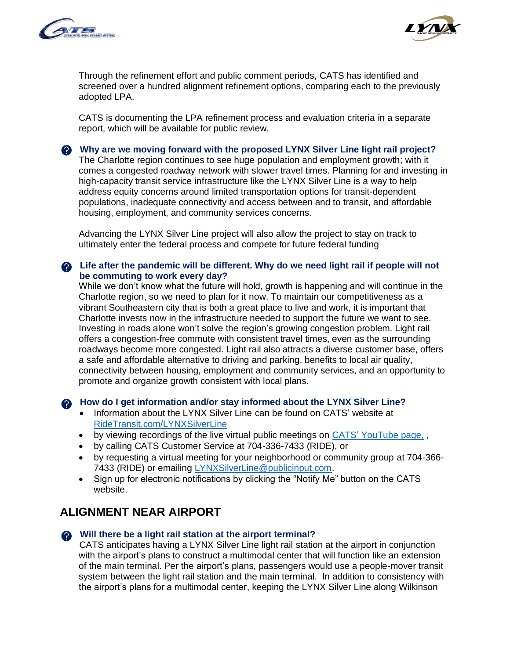



Through the refinement effort and public comment periods, CATS has identified and screened over a hundred alignment refinement options, comparing each to the previously adopted LPA.

CATS is documenting the LPA refinement process and evaluation criteria in a separate report, which will be available for public review.

**Why are we moving forward with the proposed LYNX Silver Line light rail project?** 

The Charlotte region continues to see huge population and employment growth; with it comes a congested roadway network with slower travel times. Planning for and investing in high-capacity transit service infrastructure like the LYNX Silver Line is a way to help address equity concerns around limited transportation options for transit-dependent populations, inadequate connectivity and access between and to transit, and affordable housing, employment, and community services concerns.

Advancing the LYNX Silver Line project will also allow the project to stay on track to ultimately enter the federal process and compete for future federal funding

### **Life after the pandemic will be different. Why do we need light rail if people will not be commuting to work every day?**

While we don't know what the future will hold, growth is happening and will continue in the Charlotte region, so we need to plan for it now. To maintain our competitiveness as a vibrant Southeastern city that is both a great place to live and work, it is important that Charlotte invests now in the infrastructure needed to support the future we want to see. Investing in roads alone won't solve the region's growing congestion problem. Light rail offers a congestion-free commute with consistent travel times, even as the surrounding roadways become more congested. Light rail also attracts a diverse customer base, offers a safe and affordable alternative to driving and parking, benefits to local air quality, connectivity between housing, employment and community services, and an opportunity to promote and organize growth consistent with local plans.

#### **How do I get information and/or stay informed about the LYNX Silver Line?**

- Information about the LYNX Silver Line can be found on CATS' website at [RideTransit.com/LYNXSilverLine](https://charlottenc.gov/cats/transit-planning/Pages/silver-line.aspx)
- by viewing recordings of the live virtual public meetings on CATS' [YouTube page,](https://www.youtube.com/c/CharlotteAreaTransitSystem/featured),
- by calling CATS Customer Service at 704-336-7433 (RIDE), or
- by requesting a virtual meeting for your neighborhood or community group at 704-366- 7433 (RIDE) or emailing [LYNXSilverLine@publicinput.com.](mailto:LYNXSilverLine@publicinput.com)
- Sign up for electronic notifications by clicking the "Notify Me" button on the CATS website.

# **ALIGNMENT NEAR AIRPORT**

#### **Will there be a light rail station at the airport terminal?**

CATS anticipates having a LYNX Silver Line light rail station at the airport in conjunction with the airport's plans to construct a multimodal center that will function like an extension of the main terminal. Per the airport's plans, passengers would use a people-mover transit system between the light rail station and the main terminal. In addition to consistency with the airport's plans for a multimodal center, keeping the LYNX Silver Line along Wilkinson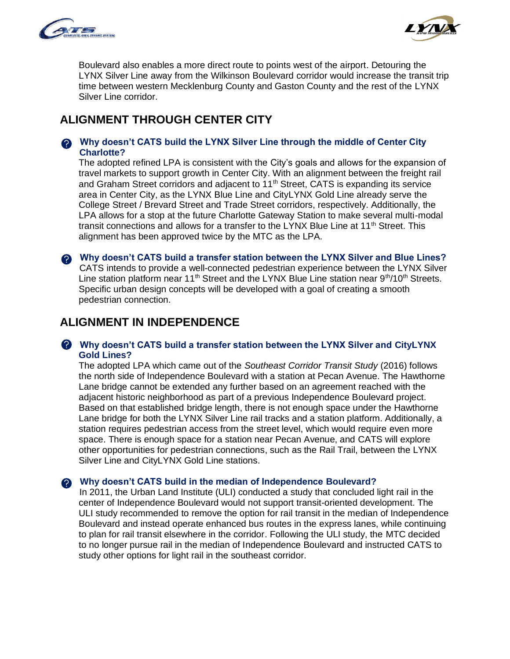



Boulevard also enables a more direct route to points west of the airport. Detouring the LYNX Silver Line away from the Wilkinson Boulevard corridor would increase the transit trip time between western Mecklenburg County and Gaston County and the rest of the LYNX Silver Line corridor.

# **ALIGNMENT THROUGH CENTER CITY**

#### **Why doesn't CATS build the LYNX Silver Line through the middle of Center City Charlotte?**

The adopted refined LPA is consistent with the City's goals and allows for the expansion of travel markets to support growth in Center City. With an alignment between the freight rail and Graham Street corridors and adjacent to 11<sup>th</sup> Street, CATS is expanding its service area in Center City, as the LYNX Blue Line and CityLYNX Gold Line already serve the College Street / Brevard Street and Trade Street corridors, respectively. Additionally, the LPA allows for a stop at the future Charlotte Gateway Station to make several multi-modal transit connections and allows for a transfer to the LYNX Blue Line at 11<sup>th</sup> Street. This alignment has been approved twice by the MTC as the LPA.

**Why doesn't CATS build a transfer station between the LYNX Silver and Blue Lines?** CATS intends to provide a well-connected pedestrian experience between the LYNX Silver Line station platform near 11<sup>th</sup> Street and the LYNX Blue Line station near  $9<sup>th</sup>/10<sup>th</sup>$  Streets. Specific urban design concepts will be developed with a goal of creating a smooth pedestrian connection.

# **ALIGNMENT IN INDEPENDENCE**

#### **Why doesn't CATS build a transfer station between the LYNX Silver and CityLYNX Gold Lines?**

The adopted LPA which came out of the *Southeast Corridor Transit Study* (2016) follows the north side of Independence Boulevard with a station at Pecan Avenue. The Hawthorne Lane bridge cannot be extended any further based on an agreement reached with the adjacent historic neighborhood as part of a previous Independence Boulevard project. Based on that established bridge length, there is not enough space under the Hawthorne Lane bridge for both the LYNX Silver Line rail tracks and a station platform. Additionally, a station requires pedestrian access from the street level, which would require even more space. There is enough space for a station near Pecan Avenue, and CATS will explore other opportunities for pedestrian connections, such as the Rail Trail, between the LYNX Silver Line and CityLYNX Gold Line stations.

#### **Why doesn't CATS build in the median of Independence Boulevard?**

In 2011, the Urban Land Institute (ULI) conducted a study that concluded light rail in the center of Independence Boulevard would not support transit-oriented development. The ULI study recommended to remove the option for rail transit in the median of Independence Boulevard and instead operate enhanced bus routes in the express lanes, while continuing to plan for rail transit elsewhere in the corridor. Following the ULI study, the MTC decided to no longer pursue rail in the median of Independence Boulevard and instructed CATS to study other options for light rail in the southeast corridor.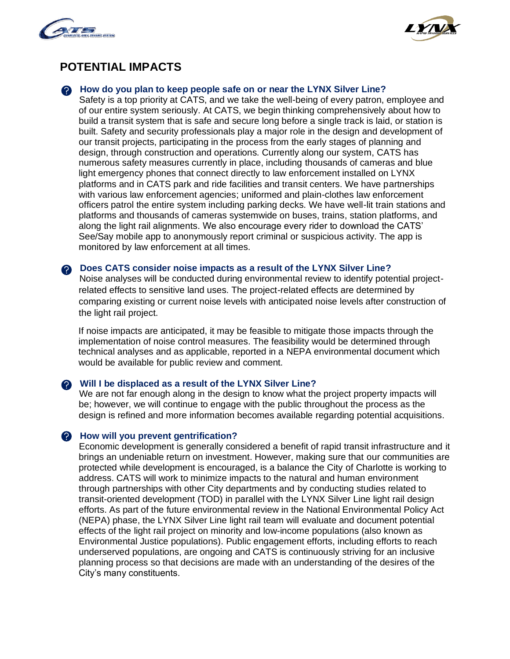



# **POTENTIAL IMPACTS**

#### **A** How do you plan to keep people safe on or near the LYNX Silver Line?

Safety is a top priority at CATS, and we take the well-being of every patron, employee and of our entire system seriously. At CATS, we begin thinking comprehensively about how to build a transit system that is safe and secure long before a single track is laid, or station is built. Safety and security professionals play a major role in the design and development of our transit projects, participating in the process from the early stages of planning and design, through construction and operations. Currently along our system, CATS has numerous safety measures currently in place, including thousands of cameras and blue light emergency phones that connect directly to law enforcement installed on LYNX platforms and in CATS park and ride facilities and transit centers. We have partnerships with various law enforcement agencies; uniformed and plain-clothes law enforcement officers patrol the entire system including parking decks. We have well-lit train stations and platforms and thousands of cameras systemwide on buses, trains, station platforms, and along the light rail alignments. We also encourage every rider to download the CATS' See/Say mobile app to anonymously report criminal or suspicious activity. The app is monitored by law enforcement at all times.

#### **Does CATS consider noise impacts as a result of the LYNX Silver Line?**

Noise analyses will be conducted during environmental review to identify potential projectrelated effects to sensitive land uses. The project-related effects are determined by comparing existing or current noise levels with anticipated noise levels after construction of the light rail project.

If noise impacts are anticipated, it may be feasible to mitigate those impacts through the implementation of noise control measures. The feasibility would be determined through technical analyses and as applicable, reported in a NEPA environmental document which would be available for public review and comment.

#### **Will I be displaced as a result of the LYNX Silver Line?**

We are not far enough along in the design to know what the project property impacts will be; however, we will continue to engage with the public throughout the process as the design is refined and more information becomes available regarding potential acquisitions.

#### **A** How will you prevent gentrification?

Economic development is generally considered a benefit of rapid transit infrastructure and it brings an undeniable return on investment. However, making sure that our communities are protected while development is encouraged, is a balance the City of Charlotte is working to address. CATS will work to minimize impacts to the natural and human environment through partnerships with other City departments and by conducting studies related to transit-oriented development (TOD) in parallel with the LYNX Silver Line light rail design efforts. As part of the future environmental review in the National Environmental Policy Act (NEPA) phase, the LYNX Silver Line light rail team will evaluate and document potential effects of the light rail project on minority and low-income populations (also known as Environmental Justice populations). Public engagement efforts, including efforts to reach underserved populations, are ongoing and CATS is continuously striving for an inclusive planning process so that decisions are made with an understanding of the desires of the City's many constituents.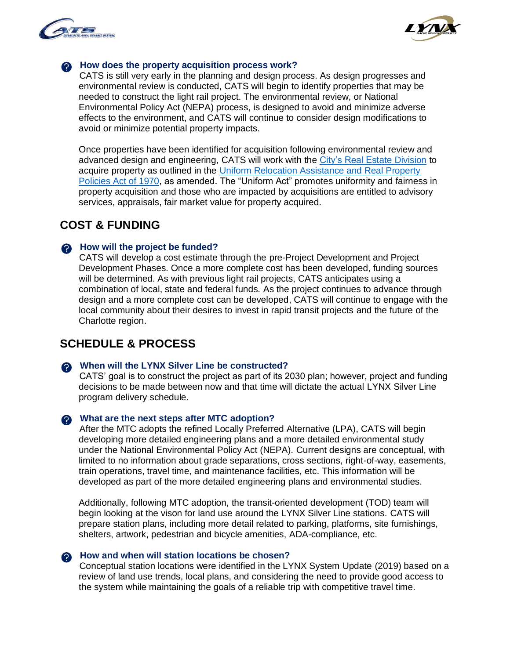



#### **A** How does the property acquisition process work?

CATS is still very early in the planning and design process. As design progresses and environmental review is conducted, CATS will begin to identify properties that may be needed to construct the light rail project. The environmental review, or National Environmental Policy Act (NEPA) process, is designed to avoid and minimize adverse effects to the environment, and CATS will continue to consider design modifications to avoid or minimize potential property impacts.

Once properties have been identified for acquisition following environmental review and advanced design and engineering, CATS will work with the [City's Real Estate Division](https://charlottenc.gov/GS/EngineeringServices/RealEstate/Pages/Acquisition.aspx) to acquire property as outlined in the [Uniform Relocation Assistance and Real Property](https://www.hudexchange.info/programs/relocation/overview/#overview-of-the-ura)  [Policies Act of 1970,](https://www.hudexchange.info/programs/relocation/overview/#overview-of-the-ura) as amended. The "Uniform Act" promotes uniformity and fairness in property acquisition and those who are impacted by acquisitions are entitled to advisory services, appraisals, fair market value for property acquired.

### **COST & FUNDING**

#### **A** How will the project be funded?

CATS will develop a cost estimate through the pre-Project Development and Project Development Phases. Once a more complete cost has been developed, funding sources will be determined. As with previous light rail projects, CATS anticipates using a combination of local, state and federal funds. As the project continues to advance through design and a more complete cost can be developed, CATS will continue to engage with the local community about their desires to invest in rapid transit projects and the future of the Charlotte region.

### **SCHEDULE & PROCESS**

#### **When will the LYNX Silver Line be constructed?**

CATS' goal is to construct the project as part of its 2030 plan; however, project and funding decisions to be made between now and that time will dictate the actual LYNX Silver Line program delivery schedule.

#### **What are the next steps after MTC adoption?**

After the MTC adopts the refined Locally Preferred Alternative (LPA), CATS will begin developing more detailed engineering plans and a more detailed environmental study under the National Environmental Policy Act (NEPA). Current designs are conceptual, with limited to no information about grade separations, cross sections, right-of-way, easements, train operations, travel time, and maintenance facilities, etc. This information will be developed as part of the more detailed engineering plans and environmental studies.

Additionally, following MTC adoption, the transit-oriented development (TOD) team will begin looking at the vison for land use around the LYNX Silver Line stations. CATS will prepare station plans, including more detail related to parking, platforms, site furnishings, shelters, artwork, pedestrian and bicycle amenities, ADA-compliance, etc.

### **A** How and when will station locations be chosen?

Conceptual station locations were identified in the LYNX System Update (2019) based on a review of land use trends, local plans, and considering the need to provide good access to the system while maintaining the goals of a reliable trip with competitive travel time.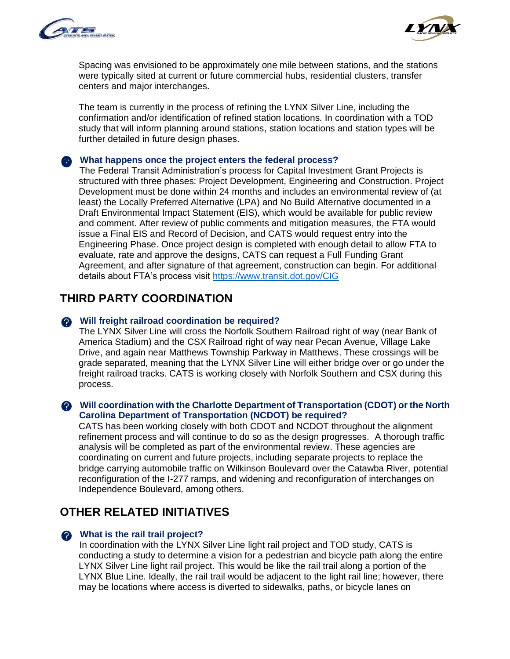



Spacing was envisioned to be approximately one mile between stations, and the stations were typically sited at current or future commercial hubs, residential clusters, transfer centers and major interchanges.

The team is currently in the process of refining the LYNX Silver Line, including the confirmation and/or identification of refined station locations. In coordination with a TOD study that will inform planning around stations, station locations and station types will be further detailed in future design phases.

### **What happens once the project enters the federal process?**

The Federal Transit Administration's process for Capital Investment Grant Projects is structured with three phases: Project Development, Engineering and Construction. Project Development must be done within 24 months and includes an environmental review of (at least) the Locally Preferred Alternative (LPA) and No Build Alternative documented in a Draft Environmental Impact Statement (EIS), which would be available for public review and comment. After review of public comments and mitigation measures, the FTA would issue a Final EIS and Record of Decision, and CATS would request entry into the Engineering Phase. Once project design is completed with enough detail to allow FTA to evaluate, rate and approve the designs, CATS can request a Full Funding Grant Agreement, and after signature of that agreement, construction can begin. For additional details about FTA's process visit<https://www.transit.dot.gov/CIG>

# **THIRD PARTY COORDINATION**

#### **Will freight railroad coordination be required?**

The LYNX Silver Line will cross the Norfolk Southern Railroad right of way (near Bank of America Stadium) and the CSX Railroad right of way near Pecan Avenue, Village Lake Drive, and again near Matthews Township Parkway in Matthews. These crossings will be grade separated, meaning that the LYNX Silver Line will either bridge over or go under the freight railroad tracks. CATS is working closely with Norfolk Southern and CSX during this process.

#### **Will coordination with the Charlotte Department of Transportation (CDOT) or the North Carolina Department of Transportation (NCDOT) be required?**

CATS has been working closely with both CDOT and NCDOT throughout the alignment refinement process and will continue to do so as the design progresses. A thorough traffic analysis will be completed as part of the environmental review. These agencies are coordinating on current and future projects, including separate projects to replace the bridge carrying automobile traffic on Wilkinson Boulevard over the Catawba River, potential reconfiguration of the I-277 ramps, and widening and reconfiguration of interchanges on Independence Boulevard, among others.

# **OTHER RELATED INITIATIVES**

#### **What is the rail trail project?**

In coordination with the LYNX Silver Line light rail project and TOD study, CATS is conducting a study to determine a vision for a pedestrian and bicycle path along the entire LYNX Silver Line light rail project. This would be like the rail trail along a portion of the LYNX Blue Line. Ideally, the rail trail would be adjacent to the light rail line; however, there may be locations where access is diverted to sidewalks, paths, or bicycle lanes on